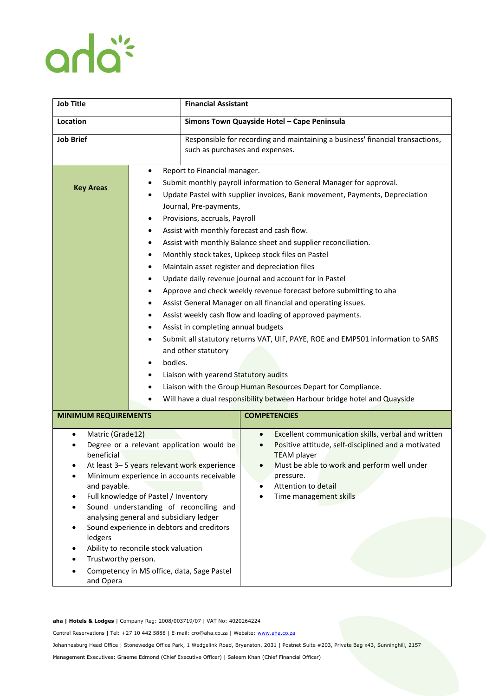## anla<sup>\*</sup>

| <b>Job Title</b>                                                                                                                                                                                                                                                                                                                                                                                                                                                                                                    |                                                                                                                                                                                                                                                                                                                                                                                                                                                                                                                                                                                                                                                                                                                                                                                                                                                                                                                                                                                                                                                                                                                                                                         | <b>Financial Assistant</b>                                                                                       |                                                                                                                                                                                                                                                                        |
|---------------------------------------------------------------------------------------------------------------------------------------------------------------------------------------------------------------------------------------------------------------------------------------------------------------------------------------------------------------------------------------------------------------------------------------------------------------------------------------------------------------------|-------------------------------------------------------------------------------------------------------------------------------------------------------------------------------------------------------------------------------------------------------------------------------------------------------------------------------------------------------------------------------------------------------------------------------------------------------------------------------------------------------------------------------------------------------------------------------------------------------------------------------------------------------------------------------------------------------------------------------------------------------------------------------------------------------------------------------------------------------------------------------------------------------------------------------------------------------------------------------------------------------------------------------------------------------------------------------------------------------------------------------------------------------------------------|------------------------------------------------------------------------------------------------------------------|------------------------------------------------------------------------------------------------------------------------------------------------------------------------------------------------------------------------------------------------------------------------|
| Location                                                                                                                                                                                                                                                                                                                                                                                                                                                                                                            |                                                                                                                                                                                                                                                                                                                                                                                                                                                                                                                                                                                                                                                                                                                                                                                                                                                                                                                                                                                                                                                                                                                                                                         | Simons Town Quayside Hotel - Cape Peninsula                                                                      |                                                                                                                                                                                                                                                                        |
| <b>Job Brief</b>                                                                                                                                                                                                                                                                                                                                                                                                                                                                                                    |                                                                                                                                                                                                                                                                                                                                                                                                                                                                                                                                                                                                                                                                                                                                                                                                                                                                                                                                                                                                                                                                                                                                                                         | Responsible for recording and maintaining a business' financial transactions,<br>such as purchases and expenses. |                                                                                                                                                                                                                                                                        |
| <b>Key Areas</b>                                                                                                                                                                                                                                                                                                                                                                                                                                                                                                    | Report to Financial manager.<br>٠<br>Submit monthly payroll information to General Manager for approval.<br>Update Pastel with supplier invoices, Bank movement, Payments, Depreciation<br>Journal, Pre-payments,<br>Provisions, accruals, Payroll<br>٠<br>Assist with monthly forecast and cash flow.<br>٠<br>Assist with monthly Balance sheet and supplier reconciliation.<br>Monthly stock takes, Upkeep stock files on Pastel<br>٠<br>Maintain asset register and depreciation files<br>٠<br>Update daily revenue journal and account for in Pastel<br>٠<br>Approve and check weekly revenue forecast before submitting to aha<br>Assist General Manager on all financial and operating issues.<br>٠<br>Assist weekly cash flow and loading of approved payments.<br>٠<br>Assist in completing annual budgets<br>٠<br>Submit all statutory returns VAT, UIF, PAYE, ROE and EMP501 information to SARS<br>$\bullet$<br>and other statutory<br>bodies.<br>$\bullet$<br>Liaison with yearend Statutory audits<br>٠<br>Liaison with the Group Human Resources Depart for Compliance.<br>٠<br>Will have a dual responsibility between Harbour bridge hotel and Quayside |                                                                                                                  |                                                                                                                                                                                                                                                                        |
| <b>MINIMUM REQUIREMENTS</b>                                                                                                                                                                                                                                                                                                                                                                                                                                                                                         |                                                                                                                                                                                                                                                                                                                                                                                                                                                                                                                                                                                                                                                                                                                                                                                                                                                                                                                                                                                                                                                                                                                                                                         |                                                                                                                  | <b>COMPETENCIES</b>                                                                                                                                                                                                                                                    |
| Matric (Grade12)<br>$\bullet$<br>Degree or a relevant application would be<br>beneficial<br>At least 3–5 years relevant work experience<br>Minimum experience in accounts receivable<br>and payable.<br>Full knowledge of Pastel / Inventory<br>Sound understanding of reconciling and<br>analysing general and subsidiary ledger<br>Sound experience in debtors and creditors<br>ledgers<br>Ability to reconcile stock valuation<br>Trustworthy person.<br>Competency in MS office, data, Sage Pastel<br>and Opera |                                                                                                                                                                                                                                                                                                                                                                                                                                                                                                                                                                                                                                                                                                                                                                                                                                                                                                                                                                                                                                                                                                                                                                         |                                                                                                                  | Excellent communication skills, verbal and written<br>$\bullet$<br>Positive attitude, self-disciplined and a motivated<br>$\bullet$<br><b>TEAM</b> player<br>Must be able to work and perform well under<br>pressure.<br>Attention to detail<br>Time management skills |

**aha | Hotels & Lodges** | Company Reg: 2008/003719/07 | VAT No: 4020264224

Central Reservations | Tel: +27 10 442 5888 | E-mail: cro@aha.co.za | Website[: www.aha.co.za](http://www.aha.co.za/)

Johannesburg Head Office | Stonewedge Office Park, 1 Wedgelink Road, Bryanston, 2031 | Postnet Suite #203, Private Bag x43, Sunninghill, 2157

Management Executives: Graeme Edmond (Chief Executive Officer) | Saleem Khan (Chief Financial Officer)